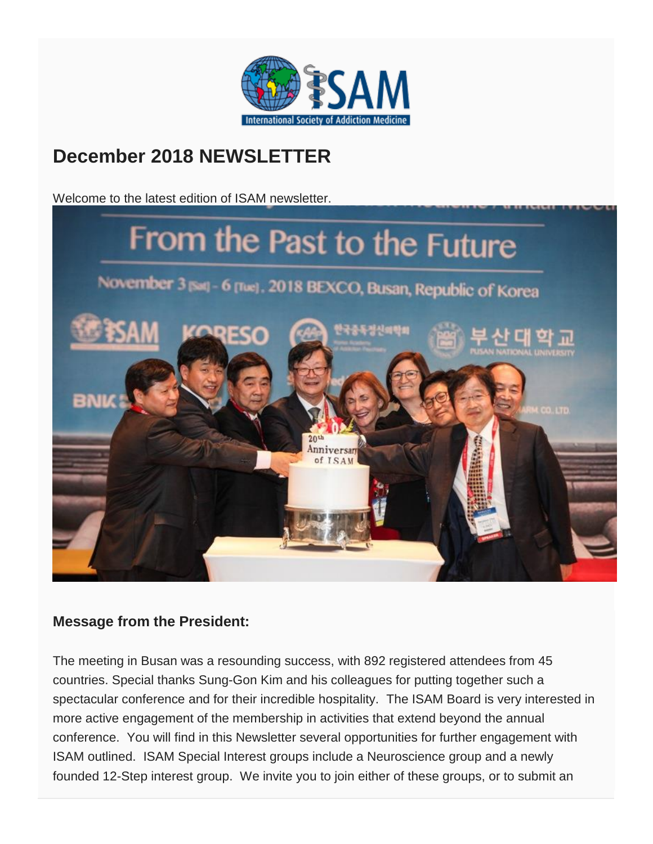

## **December 2018 NEWSLETTER**

Welcome to the latest edition of ISAM newsletter.



### **Message from the President:**

The meeting in Busan was a resounding success, with 892 registered attendees from 45 countries. Special thanks Sung-Gon Kim and his colleagues for putting together such a spectacular conference and for their incredible hospitality. The ISAM Board is very interested in more active engagement of the membership in activities that extend beyond the annual conference. You will find in this Newsletter several opportunities for further engagement with ISAM outlined. ISAM Special Interest groups include a Neuroscience group and a newly founded 12-Step interest group. We invite you to join either of these groups, or to submit an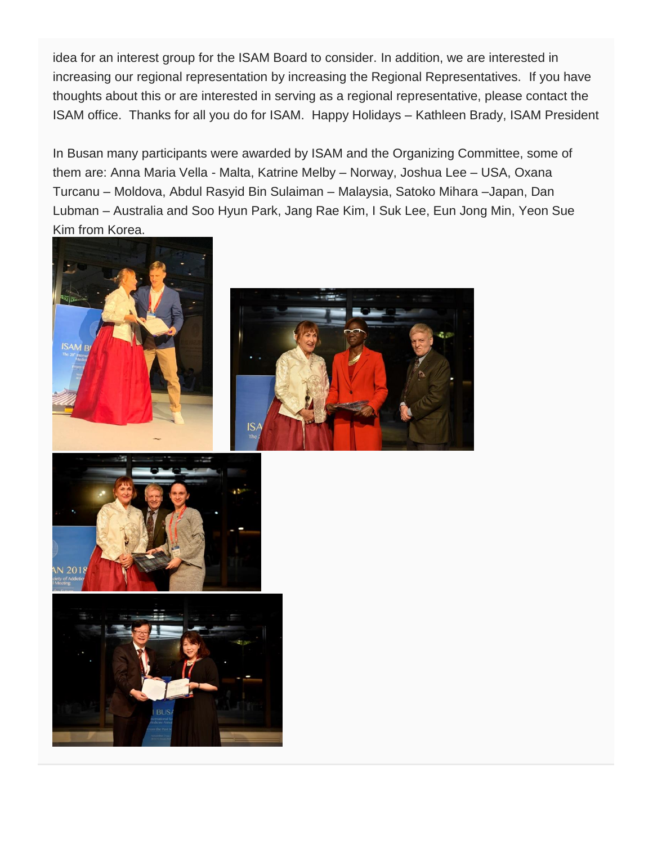idea for an interest group for the ISAM Board to consider. In addition, we are interested in increasing our regional representation by increasing the Regional Representatives. If you have thoughts about this or are interested in serving as a regional representative, please contact the ISAM office. Thanks for all you do for ISAM. Happy Holidays – Kathleen Brady, ISAM President

In Busan many participants were awarded by ISAM and the Organizing Committee, some of them are: Anna Maria Vella - Malta, Katrine Melby – Norway, Joshua Lee – USA, Oxana Turcanu – Moldova, Abdul Rasyid Bin Sulaiman – Malaysia, Satoko Mihara –Japan, Dan Lubman – Australia and Soo Hyun Park, Jang Rae Kim, I Suk Lee, Eun Jong Min, Yeon Sue Kim from Korea.







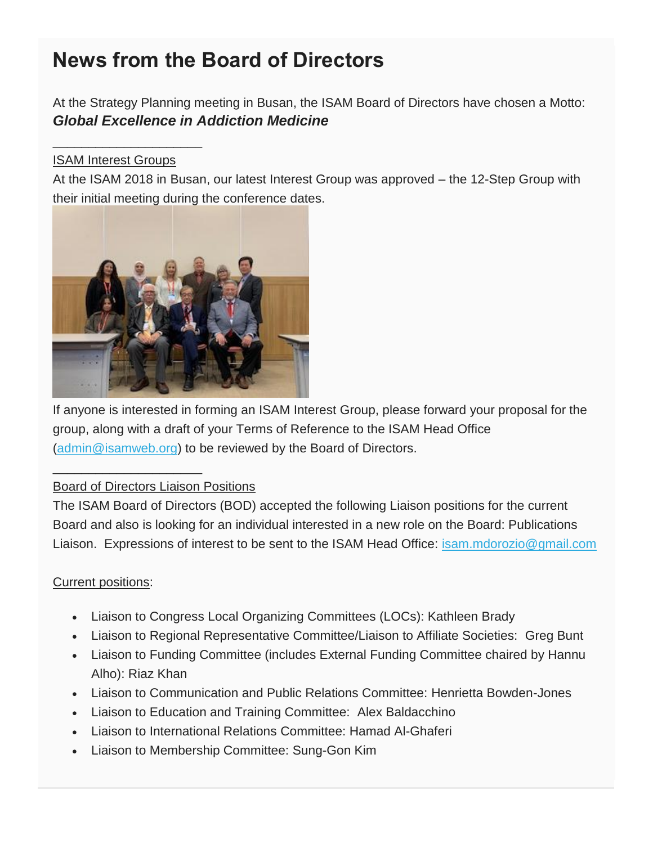# **News from the Board of Directors**

At the Strategy Planning meeting in Busan, the ISAM Board of Directors have chosen a Motto: *Global Excellence in Addiction Medicine*

#### ISAM Interest Groups

\_\_\_\_\_\_\_\_\_\_\_\_\_\_\_\_\_\_\_\_\_

At the ISAM 2018 in Busan, our latest Interest Group was approved – the 12-Step Group with their initial meeting during the conference dates.



If anyone is interested in forming an ISAM Interest Group, please forward your proposal for the group, along with a draft of your Terms of Reference to the ISAM Head Office [\(admin@isamweb.org\)](mailto:admin@isamweb.org) to be reviewed by the Board of Directors.

#### Board of Directors Liaison Positions

\_\_\_\_\_\_\_\_\_\_\_\_\_\_\_\_\_\_\_\_\_

The ISAM Board of Directors (BOD) accepted the following Liaison positions for the current Board and also is looking for an individual interested in a new role on the Board: Publications Liaison. Expressions of interest to be sent to the ISAM Head Office: [isam.mdorozio@gmail.com](mailto:isam.mdorozio@gmail.com)

#### Current positions:

- Liaison to Congress Local Organizing Committees (LOCs): Kathleen Brady
- Liaison to Regional Representative Committee/Liaison to Affiliate Societies: Greg Bunt
- Liaison to Funding Committee (includes External Funding Committee chaired by Hannu Alho): Riaz Khan
- Liaison to Communication and Public Relations Committee: Henrietta Bowden-Jones
- Liaison to Education and Training Committee: Alex Baldacchino
- Liaison to International Relations Committee: Hamad Al-Ghaferi
- Liaison to Membership Committee: Sung-Gon Kim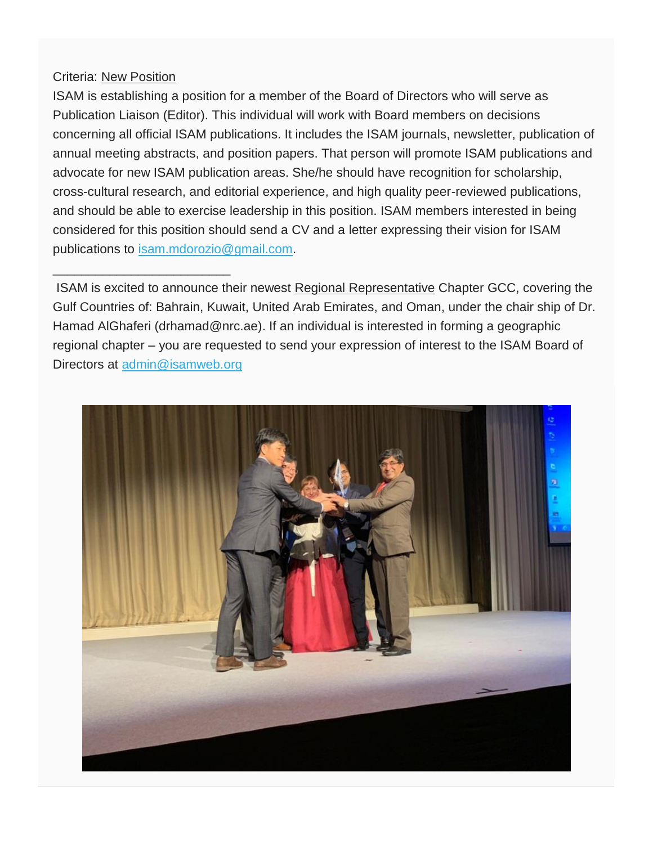#### Criteria: New Position

\_\_\_\_\_\_\_\_\_\_\_\_\_\_\_\_\_\_\_\_\_\_\_\_\_

ISAM is establishing a position for a member of the Board of Directors who will serve as Publication Liaison (Editor). This individual will work with Board members on decisions concerning all official ISAM publications. It includes the ISAM journals, newsletter, publication of annual meeting abstracts, and position papers. That person will promote ISAM publications and advocate for new ISAM publication areas. She/he should have recognition for scholarship, cross-cultural research, and editorial experience, and high quality peer-reviewed publications, and should be able to exercise leadership in this position. ISAM members interested in being considered for this position should send a CV and a letter expressing their vision for ISAM publications to [isam.mdorozio@gmail.com.](mailto:isam.mdorozio@gmail.com)

ISAM is excited to announce their newest Regional Representative Chapter GCC, covering the Gulf Countries of: Bahrain, Kuwait, United Arab Emirates, and Oman, under the chair ship of Dr. Hamad AlGhaferi (drhamad@nrc.ae). If an individual is interested in forming a geographic regional chapter – you are requested to send your expression of interest to the ISAM Board of Directors at [admin@isamweb.org](mailto:admin@isamweb.org)

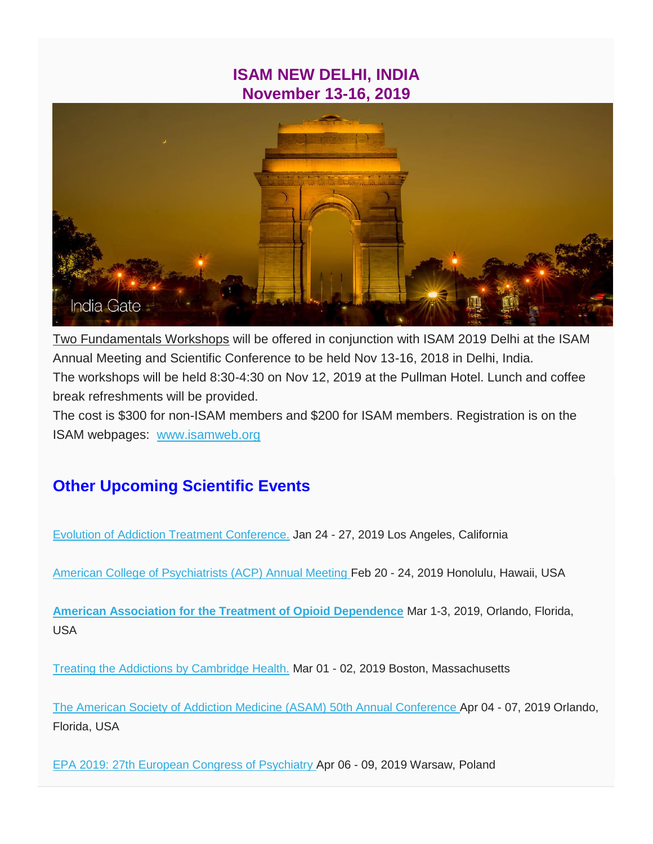### **ISAM NEW DELHI, INDIA November 13-16, 2019**



Two Fundamentals Workshops will be offered in conjunction with ISAM 2019 Delhi at the ISAM Annual Meeting and Scientific Conference to be held Nov 13-16, 2018 in Delhi, India. The workshops will be held 8:30-4:30 on Nov 12, 2019 at the Pullman Hotel. Lunch and coffee break refreshments will be provided.

The cost is \$300 for non-ISAM members and \$200 for ISAM members. Registration is on the ISAM webpages: [www.isamweb.org](http://www.isamweb.org/)

### **Other Upcoming Scientific Events**

[Evolution of Addiction Treatment Conference.](https://www.emedevents.com/conferenceview/medical-conferences-2018/evolution-of-addiction-treatment-conference-2019-98396) Jan 24 - 27, 2019 Los Angeles, California

[American College of Psychiatrists \(ACP\) Annual Meeting](https://www.emedevents.com/conferenceview/medical-conferences-2018/american-college-of-psychiatrists-acp-annual-meeting-2019-57728) Feb 20 - 24, 2019 Honolulu, Hawaii, USA

**[American Association for the Treatment of Opioid Dependence](http://www.aatod.org/)** Mar 1-3, 2019, Orlando, Florida, USA

[Treating the Addictions by Cambridge Health.](https://www.emedevents.com/conferenceview/medical-conferences-2018/treating-the-addictions-by-cambridge-health-alliance-cha-2019-112716) Mar 01 - 02, 2019 Boston, Massachusetts

[The American Society of Addiction Medicine \(ASAM\) 50th Annual Conference](https://www.emedevents.com/conferenceview/medical-conferences-2018/the-american-society-of-addiction-medicine-asam-50th-annual-conference-innovations-in-addiction-medicine-and-science-31446) Apr 04 - 07, 2019 Orlando, Florida, USA

[EPA 2019: 27th European Congress of Psychiatry](https://www.emedevents.com/conferenceview/medical-conferences-2018/epa-2019-27th-european-congress-of-psychiatry-107224) Apr 06 - 09, 2019 Warsaw, Poland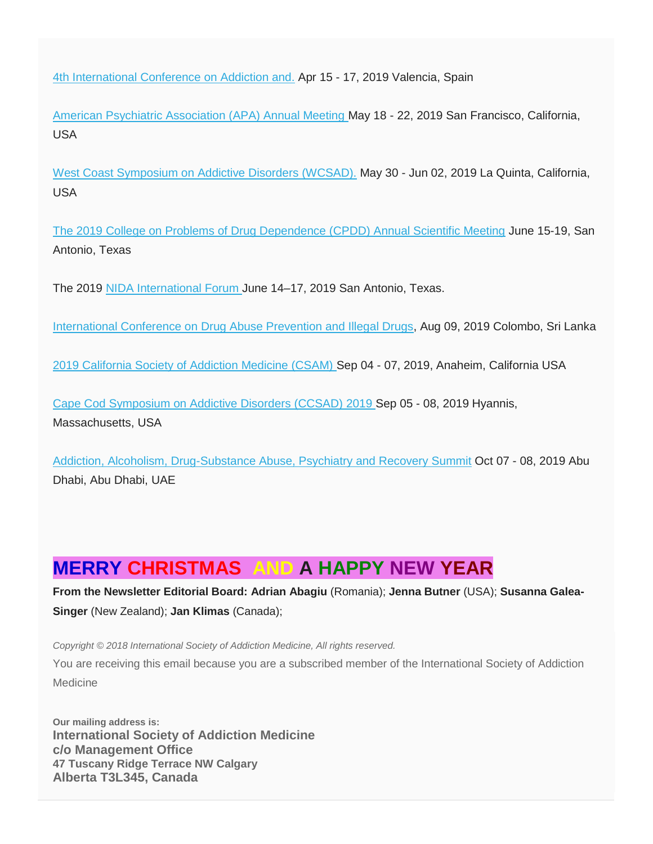[4th International Conference on Addiction and.](https://www.emedevents.com/conferenceview/medical-conferences-2018/4th-international-conference-on-addiction-and-sleep-disorders-122537) Apr 15 - 17, 2019 Valencia, Spain

[American Psychiatric Association \(APA\) Annual Meeting](https://www.emedevents.com/conferenceview/medical-conferences-2018/american-psychiatric-association-apa-172nd-annual-meeting-13067) May 18 - 22, 2019 San Francisco, California, USA

[West Coast Symposium on Addictive Disorders \(WCSAD\).](https://www.emedevents.com/conferenceview/medical-conferences-2018/west-coast-symposium-on-addictive-disorders-wcsad-2019-98541) May 30 - Jun 02, 2019 La Quinta, California, USA

The 2019 [College on Problems of Drug Dependence \(CPDD\) Annual Scientific Meeting](https://www.xcdsystem.com/cpdd/attendee/index.cfm?ID=MxqonST) June 15-19, San Antonio, Texas

The 2019 [NIDA International Forum](https://www.drugabuse.gov/international/international-forum) June 14–17, 2019 San Antonio, Texas.

[International Conference on Drug Abuse Prevention and Illegal Drugs,](https://www.emedevents.com/conferenceview/medical-conferences-2018/international-conference-on-drug-abuse-prevention-and-illegal-drugs-icdapid-2019-122439) Aug 09, 2019 Colombo, Sri Lanka

[2019 California Society of Addiction Medicine \(CSAM\)](https://www.emedevents.com/conferenceview/medical-conferences-2018/2019-california-society-of-addiction-medicine-csam-review-course-112666) Sep 04 - 07, 2019, Anaheim, California USA

[Cape Cod Symposium on Addictive Disorders \(CCSAD\) 2019](https://www.emedevents.com/conferenceview/medical-conferences-2018/cape-cod-symposium-on-addictive-disorders-ccsad-2019-98529) Sep 05 - 08, 2019 Hyannis, Massachusetts, USA

[Addiction, Alcoholism, Drug-Substance Abuse, Psychiatry and Recovery Summit](https://www.emedevents.com/conferenceview/medical-conferences-2018/addiction-alcoholism-drug-substance-abuse-psychiatry-and-recovery-summit-126341) Oct 07 - 08, 2019 Abu Dhabi, Abu Dhabi, UAE

## **MERRY CHRISTMAS AND A HAPPY NEW YEAR**

**From the Newsletter Editorial Board: Adrian Abagiu** (Romania); **Jenna Butner** (USA); **Susanna Galea-Singer** (New Zealand); **Jan Klimas** (Canada);

*Copyright © 2018 International Society of Addiction Medicine, All rights reserved.*

You are receiving this email because you are a subscribed member of the International Society of Addiction Medicine

**Our mailing address is: International Society of Addiction Medicine c/o Management Office 47 Tuscany Ridge Terrace NW Calgary Alberta T3L345, Canada**